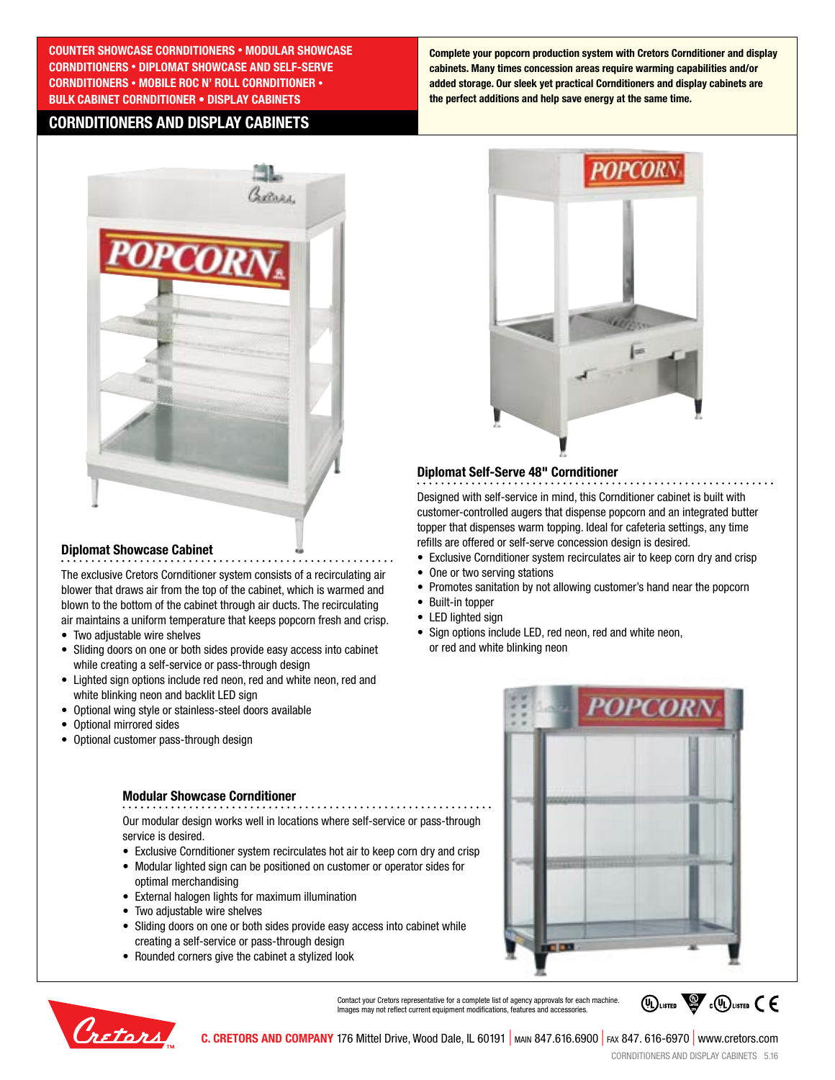**COUNTER SHOWCASE CORNDITIONERS • MODULAR SHOWCASE CORNDITIONERS • DIPLOMAT SHOWCASE AND SELF-SERVE CORNDITIONERS • MOBILE ROC N' ROLL CORNDITIONER • BULK CABINET CORNDITIONER • DISPLAY CABINETS**

## **CORNDITIONERS AND DISPLAY CABINETS**

**Complete your popcorn production system with Cretors Cornditioner and display cabinets. Many times concession areas require warming capabilities and/or added storage. Our sleek yet practical Cornditioners and display cabinets are the perfect additions and help save energy at the same time.** 



## **Diplomat Showcase Cabinet**

The exclusive Cretors Cornditioner system consists of a recirculating air blower that draws air from the top of the cabinet, which is warmed and blown to the bottom of the cabinet through air ducts. The recirculating air maintains a uniform temperature that keeps popcorn fresh and crisp.

- Two adjustable wire shelves
- Sliding doors on one or both sides provide easy access into cabinet while creating a self-service or pass-through design
- Lighted sign options include red neon, red and white neon, red and white blinking neon and backlit LED sign
- Optional wing style or stainless-steel doors available
- Optional mirrored sides
- Optional customer pass-through design

#### **Modular Showcase Cornditioner**

Our modular design works well in locations where self-service or pass-through service is desired.

- Exclusive Cornditioner system recirculates hot air to keep corn dry and crisp
- Modular lighted sign can be positioned on customer or operator sides for optimal merchandising
- External halogen lights for maximum illumination
- Two adjustable wire shelves
- Sliding doors on one or both sides provide easy access into cabinet while creating a self-service or pass-through design
- Rounded corners give the cabinet a stylized look



#### **Diplomat Self-Serve 48" Cornditioner**

Designed with self-service in mind, this Cornditioner cabinet is built with customer-controlled augers that dispense popcorn and an integrated butter topper that dispenses warm topping. Ideal for cafeteria settings, any time refills are offered or self-serve concession design is desired.

- Exclusive Cornditioner system recirculates air to keep corn dry and crisp
- One or two serving stations
- Promotes sanitation by not allowing customer's hand near the popcorn
- Built-in topper
- LED lighted sign
- Sign options include LED, red neon, red and white neon, or red and white blinking neon





Contact your Cretors representative for a complete list of agency approvals for each machine. Images may not reflect current equipment modifications, features and accessories.



**C. CRETORS AND COMPANY** 176 Mittel Drive, Wood Dale, IL 60191 | main 847.616.6900 | fax 847. 616-6970 | www.cretors.com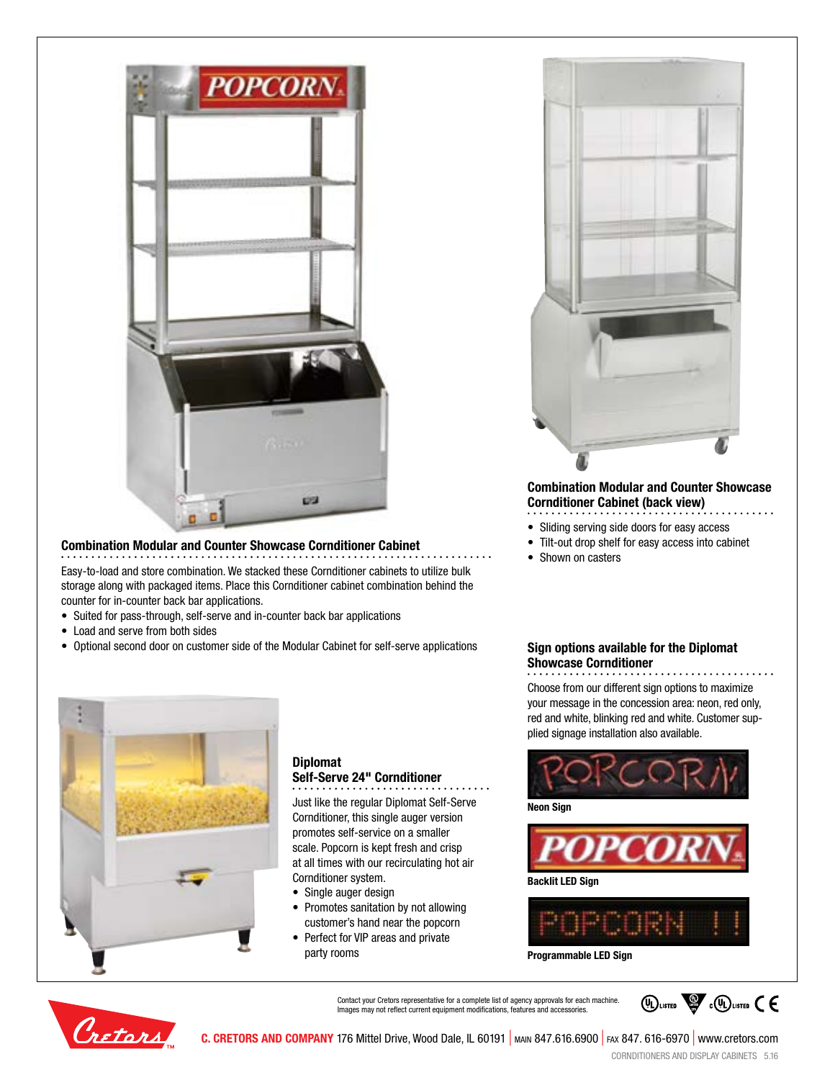

#### **Combination Modular and Counter Showcase Cornditioner Cabinet**

Easy-to-load and store combination. We stacked these Cornditioner cabinets to utilize bulk storage along with packaged items. Place this Cornditioner cabinet combination behind the counter for in-counter back bar applications.

- Suited for pass-through, self-serve and in-counter back bar applications
- Load and serve from both sides
- Optional second door on customer side of the Modular Cabinet for self-serve applications



## **Diplomat Self-Serve 24" Cornditioner**

Just like the regular Diplomat Self-Serve Cornditioner, this single auger version promotes self-service on a smaller scale. Popcorn is kept fresh and crisp at all times with our recirculating hot air Cornditioner system.

- Single auger design
- Promotes sanitation by not allowing customer's hand near the popcorn
- Perfect for VIP areas and private party rooms



## **Combination Modular and Counter Showcase Cornditioner Cabinet (back view)**

- Sliding serving side doors for easy access
- Tilt-out drop shelf for easy access into cabinet
- Shown on casters

## **Sign options available for the Diplomat Showcase Cornditioner**

Choose from our different sign options to maximize your message in the concession area: neon, red only, red and white, blinking red and white. Customer supplied signage installation also available.



**Neon Sign**





**Programmable LED Sign**



Contact your Cretors representative for a complete list of agency approvals for each machine. Images may not reflect current equipment modifications, features and accessories.



**C. CRETORS AND COMPANY** 176 Mittel Drive, Wood Dale, IL 60191 | main 847.616.6900 | fax 847. 616-6970 | www.cretors.com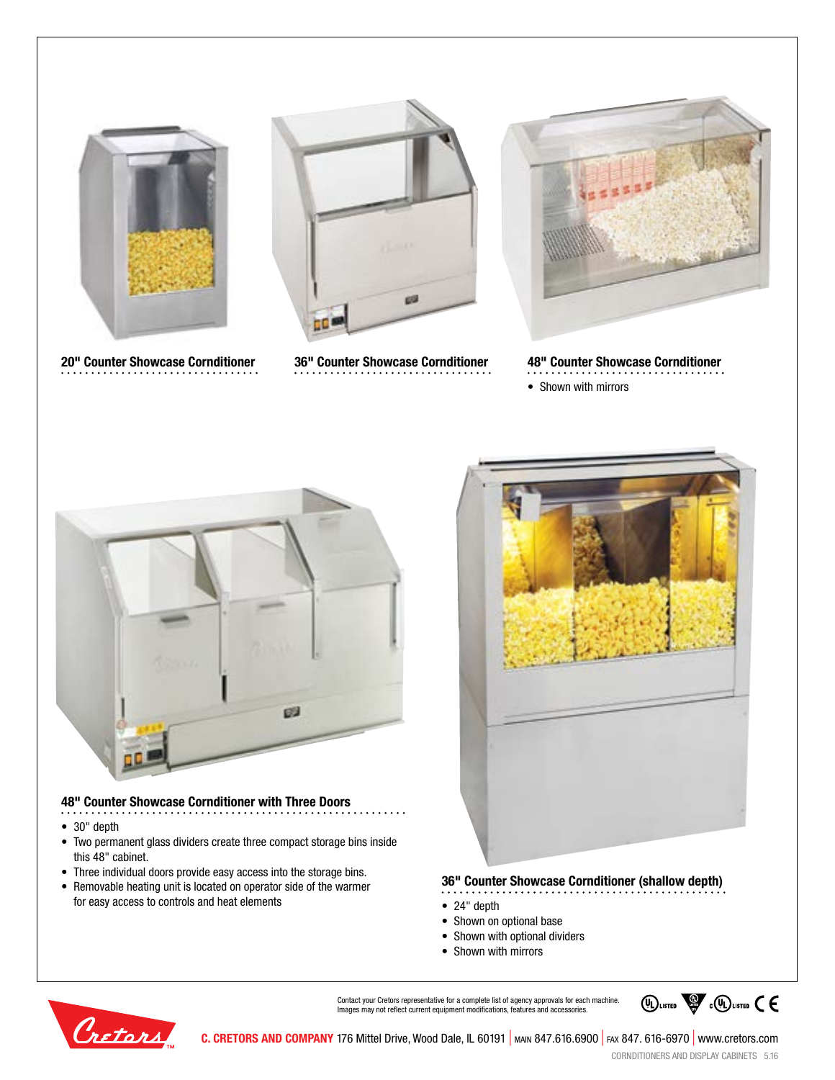

**20" Counter Showcase Cornditioner 36" Counter Showcase Cornditioner**





**48" Counter Showcase Cornditioner**

• Shown with mirrors



## **48" Counter Showcase Cornditioner with Three Doors**

- 30" depth
- Two permanent glass dividers create three compact storage bins inside this 48" cabinet.
- Three individual doors provide easy access into the storage bins.
- Removable heating unit is located on operator side of the warmer for easy access to controls and heat elements



### **36" Counter Showcase Cornditioner (shallow depth)**

- 
- 24" depth
- Shown on optional base • Shown with optional dividers
- Shown with mirrors



Contact your Cretors representative for a complete list of agency approvals for each machine. Images may not reflect current equipment modifications, features and accessories.



**C. CRETORS AND COMPANY** 176 Mittel Drive, Wood Dale, IL 60191 | main 847.616.6900 | fax 847. 616-6970 | www.cretors.com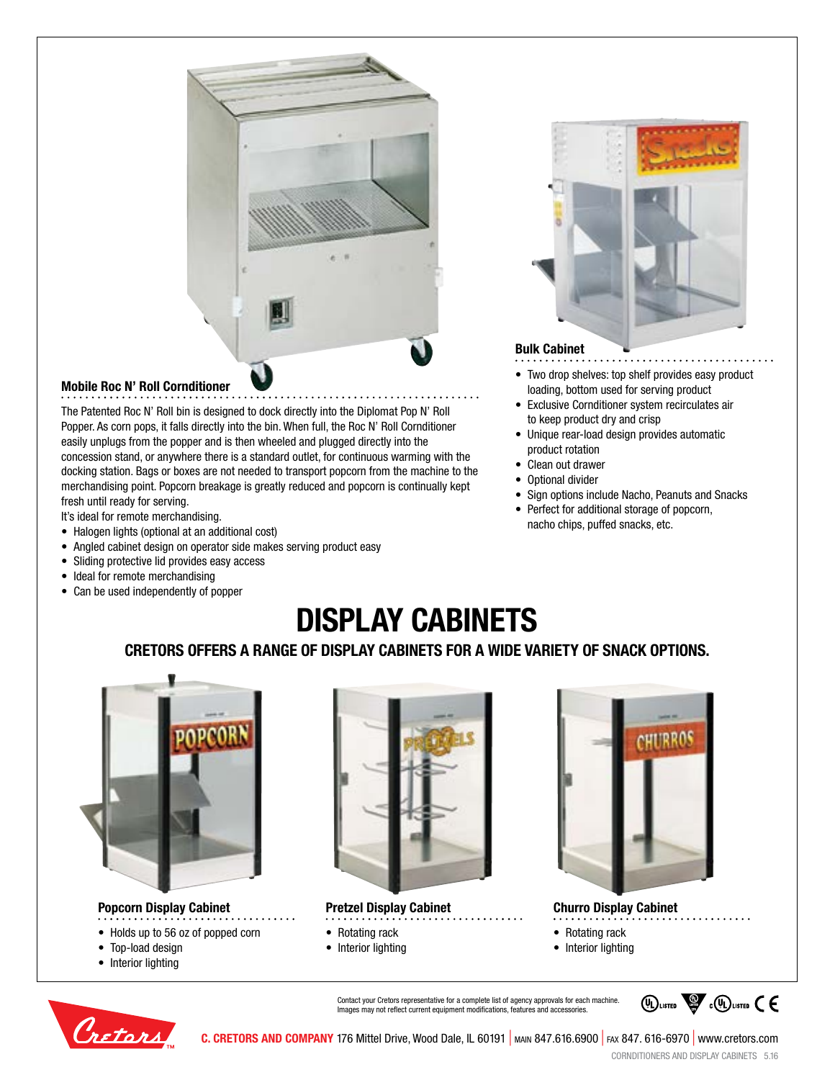

## **Mobile Roc N' Roll Cornditioner**

The Patented Roc N' Roll bin is designed to dock directly into the Diplomat Pop N' Roll Popper. As corn pops, it falls directly into the bin. When full, the Roc N' Roll Cornditioner easily unplugs from the popper and is then wheeled and plugged directly into the concession stand, or anywhere there is a standard outlet, for continuous warming with the docking station. Bags or boxes are not needed to transport popcorn from the machine to the merchandising point. Popcorn breakage is greatly reduced and popcorn is continually kept fresh until ready for serving.

It's ideal for remote merchandising.

- Halogen lights (optional at an additional cost)
- Angled cabinet design on operator side makes serving product easy
- Sliding protective lid provides easy access
- Ideal for remote merchandising
- Can be used independently of popper



## **Bulk Cabinet**

- Two drop shelves: top shelf provides easy product loading, bottom used for serving product
- Exclusive Cornditioner system recirculates air to keep product dry and crisp
- Unique rear-load design provides automatic product rotation
- Clean out drawer
- Optional divider
- Sign options include Nacho, Peanuts and Snacks
- Perfect for additional storage of popcorn, nacho chips, puffed snacks, etc.

# **DISPLAY CABINETS**

## **CRETORS OFFERS A RANGE OF DISPLAY CABINETS FOR A WIDE VARIETY OF SNACK OPTIONS.**



### **Popcorn Display Cabinet**

- Holds up to 56 oz of popped corn
- Top-load design
- 
- Interior lighting



**Pretzel Display Cabinet**

- Rotating rack
- 
- Interior lighting



**Churro Display Cabinet**

- Rotating rack
- Interior lighting







**C. CRETORS AND COMPANY** 176 Mittel Drive, Wood Dale, IL 60191 | main 847.616.6900 | fax 847. 616-6970 | www.cretors.com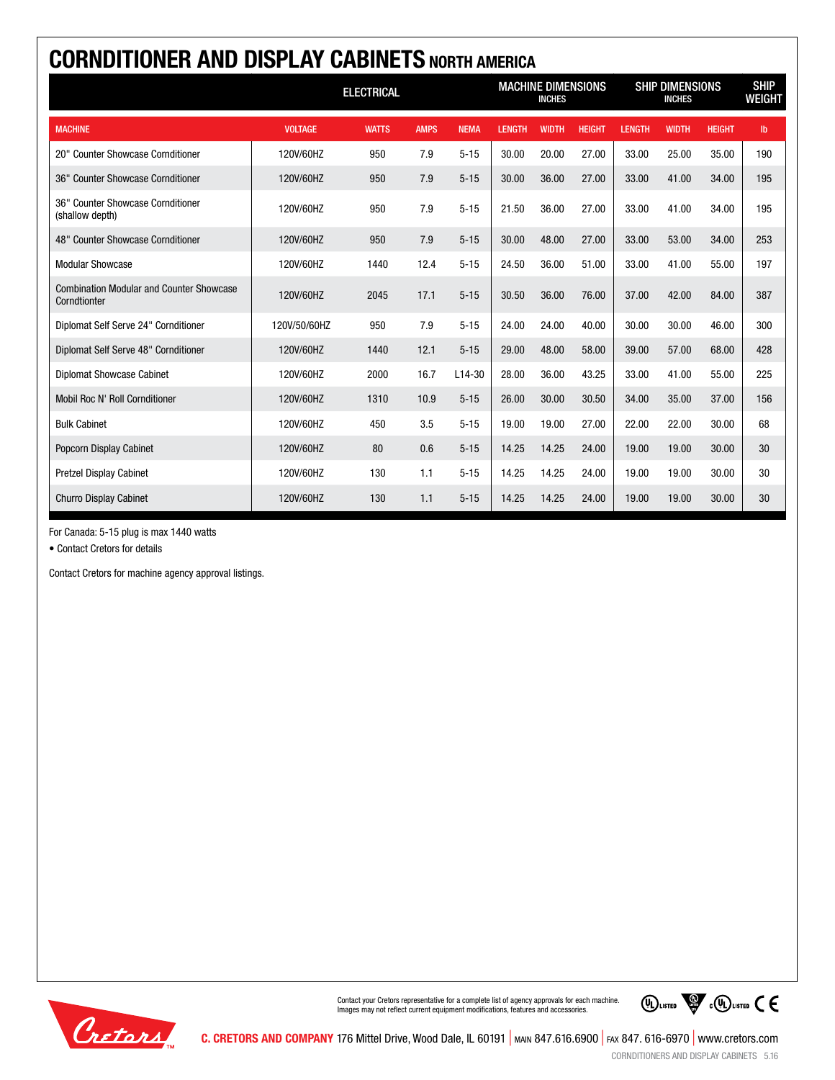| <b>CORNDITIONER AND DISPLAY CABINETS NORTH AMERICA</b>          |                   |              |             |                                            |               |              |                                         |               |              |                              |               |
|-----------------------------------------------------------------|-------------------|--------------|-------------|--------------------------------------------|---------------|--------------|-----------------------------------------|---------------|--------------|------------------------------|---------------|
|                                                                 | <b>ELECTRICAL</b> |              |             | <b>MACHINE DIMENSIONS</b><br><b>INCHES</b> |               |              | <b>SHIP DIMENSIONS</b><br><b>INCHES</b> |               |              | <b>SHIP</b><br><b>WEIGHT</b> |               |
| <b>MACHINE</b>                                                  | <b>VOLTAGE</b>    | <b>WATTS</b> | <b>AMPS</b> | <b>NEMA</b>                                | <b>LENGTH</b> | <b>WIDTH</b> | <b>HEIGHT</b>                           | <b>LENGTH</b> | <b>WIDTH</b> | <b>HEIGHT</b>                | $\mathsf{lb}$ |
| 20" Counter Showcase Cornditioner                               | 120V/60HZ         | 950          | 7.9         | $5 - 15$                                   | 30.00         | 20.00        | 27.00                                   | 33.00         | 25.00        | 35.00                        | 190           |
| 36" Counter Showcase Cornditioner                               | 120V/60HZ         | 950          | 7.9         | $5 - 15$                                   | 30.00         | 36.00        | 27.00                                   | 33.00         | 41.00        | 34.00                        | 195           |
| 36" Counter Showcase Cornditioner<br>(shallow depth)            | 120V/60HZ         | 950          | 7.9         | $5 - 15$                                   | 21.50         | 36.00        | 27.00                                   | 33.00         | 41.00        | 34.00                        | 195           |
| 48" Counter Showcase Cornditioner                               | 120V/60HZ         | 950          | 7.9         | $5 - 15$                                   | 30.00         | 48.00        | 27.00                                   | 33.00         | 53.00        | 34.00                        | 253           |
| <b>Modular Showcase</b>                                         | 120V/60HZ         | 1440         | 12.4        | $5 - 15$                                   | 24.50         | 36.00        | 51.00                                   | 33.00         | 41.00        | 55.00                        | 197           |
| <b>Combination Modular and Counter Showcase</b><br>Corndtionter | 120V/60HZ         | 2045         | 17.1        | $5 - 15$                                   | 30.50         | 36.00        | 76.00                                   | 37.00         | 42.00        | 84.00                        | 387           |
| Diplomat Self Serve 24" Cornditioner                            | 120V/50/60HZ      | 950          | 7.9         | $5 - 15$                                   | 24.00         | 24.00        | 40.00                                   | 30.00         | 30.00        | 46.00                        | 300           |
| Diplomat Self Serve 48" Cornditioner                            | 120V/60HZ         | 1440         | 12.1        | $5 - 15$                                   | 29.00         | 48.00        | 58.00                                   | 39.00         | 57.00        | 68.00                        | 428           |
| <b>Diplomat Showcase Cabinet</b>                                | 120V/60HZ         | 2000         | 16.7        | $L14-30$                                   | 28.00         | 36.00        | 43.25                                   | 33.00         | 41.00        | 55.00                        | 225           |
| Mobil Roc N' Roll Cornditioner                                  | 120V/60HZ         | 1310         | 10.9        | $5 - 15$                                   | 26.00         | 30.00        | 30.50                                   | 34.00         | 35.00        | 37.00                        | 156           |
| <b>Bulk Cabinet</b>                                             | 120V/60HZ         | 450          | 3.5         | $5 - 15$                                   | 19.00         | 19.00        | 27.00                                   | 22.00         | 22.00        | 30.00                        | 68            |
| <b>Popcorn Display Cabinet</b>                                  | 120V/60HZ         | 80           | 0.6         | $5 - 15$                                   | 14.25         | 14.25        | 24.00                                   | 19.00         | 19.00        | 30.00                        | 30            |
| <b>Pretzel Display Cabinet</b>                                  | 120V/60HZ         | 130          | 1.1         | $5 - 15$                                   | 14.25         | 14.25        | 24.00                                   | 19.00         | 19.00        | 30.00                        | 30            |
| <b>Churro Display Cabinet</b>                                   | 120V/60HZ         | 130          | 1.1         | $5 - 15$                                   | 14.25         | 14.25        | 24.00                                   | 19.00         | 19.00        | 30.00                        | 30            |

For Canada: 5-15 plug is max 1440 watts

• Contact Cretors for details

Contact Cretors for machine agency approval listings.



Contact your Cretors representative for a complete list of agency approvals for each machine. Images may not reflect current equipment modifications, features and accessories.

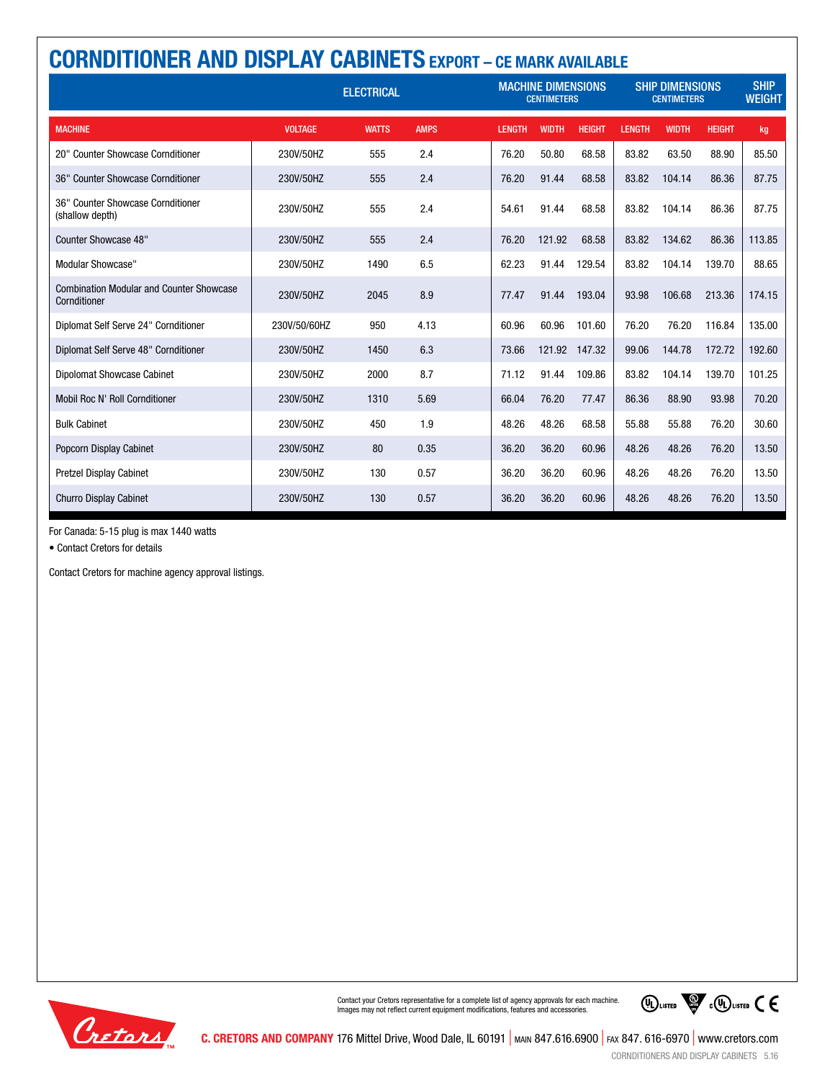| <b>CORNDITIONER AND DISPLAY CABINETS EXPORT - CE MARK AVAILABLE</b> |                   |              |             |                                                 |              |               |                                              |              |               |                              |  |  |
|---------------------------------------------------------------------|-------------------|--------------|-------------|-------------------------------------------------|--------------|---------------|----------------------------------------------|--------------|---------------|------------------------------|--|--|
|                                                                     | <b>ELECTRICAL</b> |              |             | <b>MACHINE DIMENSIONS</b><br><b>CENTIMETERS</b> |              |               | <b>SHIP DIMENSIONS</b><br><b>CENTIMETERS</b> |              |               | <b>SHIP</b><br><b>WEIGHT</b> |  |  |
| <b>MACHINE</b>                                                      | <b>VOLTAGE</b>    | <b>WATTS</b> | <b>AMPS</b> | <b>LENGTH</b>                                   | <b>WIDTH</b> | <b>HEIGHT</b> | <b>LENGTH</b>                                | <b>WIDTH</b> | <b>HEIGHT</b> | kg                           |  |  |
| 20" Counter Showcase Cornditioner                                   | 230V/50HZ         | 555          | 2.4         | 76.20                                           | 50.80        | 68.58         | 83.82                                        | 63.50        | 88.90         | 85.50                        |  |  |
| 36" Counter Showcase Cornditioner                                   | 230V/50HZ         | 555          | 2.4         | 76.20                                           | 91.44        | 68.58         | 83.82                                        | 104.14       | 86.36         | 87.75                        |  |  |
| 36" Counter Showcase Cornditioner<br>(shallow depth)                | 230V/50HZ         | 555          | 2.4         | 54.61                                           | 91.44        | 68.58         | 83.82                                        | 104.14       | 86.36         | 87.75                        |  |  |
| Counter Showcase 48"                                                | 230V/50HZ         | 555          | 2.4         | 76.20                                           | 121.92       | 68.58         | 83.82                                        | 134.62       | 86.36         | 113.85                       |  |  |
| <b>Modular Showcase"</b>                                            | 230V/50HZ         | 1490         | 6.5         | 62.23                                           | 91.44        | 129.54        | 83.82                                        | 104.14       | 139.70        | 88.65                        |  |  |
| <b>Combination Modular and Counter Showcase</b><br>Cornditioner     | 230V/50HZ         | 2045         | 8.9         | 77.47                                           | 91.44        | 193.04        | 93.98                                        | 106.68       | 213.36        | 174.15                       |  |  |
| Diplomat Self Serve 24" Cornditioner                                | 230V/50/60HZ      | 950          | 4.13        | 60.96                                           | 60.96        | 101.60        | 76.20                                        | 76.20        | 116.84        | 135.00                       |  |  |
| Diplomat Self Serve 48" Cornditioner                                | 230V/50HZ         | 1450         | 6.3         | 73.66                                           | 121.92       | 147.32        | 99.06                                        | 144.78       | 172.72        | 192.60                       |  |  |
| Dipolomat Showcase Cabinet                                          | 230V/50HZ         | 2000         | 8.7         | 71.12                                           | 91.44        | 109.86        | 83.82                                        | 104.14       | 139.70        | 101.25                       |  |  |
| <b>Mobil Roc N' Roll Cornditioner</b>                               | 230V/50HZ         | 1310         | 5.69        | 66.04                                           | 76.20        | 77.47         | 86.36                                        | 88.90        | 93.98         | 70.20                        |  |  |
| <b>Bulk Cabinet</b>                                                 | 230V/50HZ         | 450          | 1.9         | 48.26                                           | 48.26        | 68.58         | 55.88                                        | 55.88        | 76.20         | 30.60                        |  |  |
| Popcorn Display Cabinet                                             | 230V/50HZ         | 80           | 0.35        | 36.20                                           | 36.20        | 60.96         | 48.26                                        | 48.26        | 76.20         | 13.50                        |  |  |
| <b>Pretzel Display Cabinet</b>                                      | 230V/50HZ         | 130          | 0.57        | 36.20                                           | 36.20        | 60.96         | 48.26                                        | 48.26        | 76.20         | 13.50                        |  |  |
| <b>Churro Display Cabinet</b>                                       | 230V/50HZ         | 130          | 0.57        | 36.20                                           | 36.20        | 60.96         | 48.26                                        | 48.26        | 76.20         | 13.50                        |  |  |

For Canada: 5-15 plug is max 1440 watts

• Contact Cretors for details

Contact Cretors for machine agency approval listings.



Contact your Cretors representative for a complete list of agency approvals for each machine. Images may not reflect current equipment modifications, features and accessories.